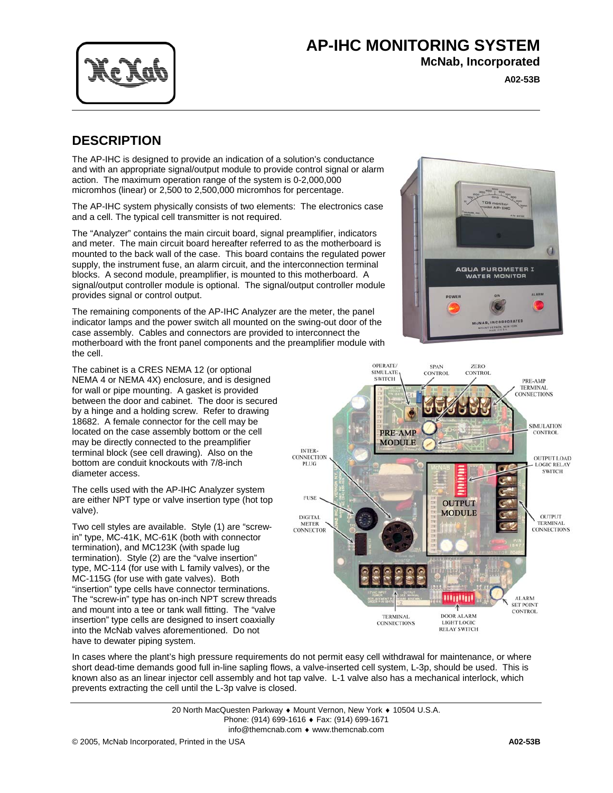

## **AP-IHC MONITORING SYSTEM**

**McNab, Incorporated**

AGUA PUROMETER I **WATER MONITOR** 

**A02-53B**

G

ALARM

## **DESCRIPTION**

The AP-IHC is designed to provide an indication of a solution's conductance and with an appropriate signal/output module to provide control signal or alarm action. The maximum operation range of the system is 0-2,000,000 micromhos (linear) or 2,500 to 2,500,000 micromhos for percentage.

The AP-IHC system physically consists of two elements: The electronics case and a cell. The typical cell transmitter is not required.

The "Analyzer" contains the main circuit board, signal preamplifier, indicators and meter. The main circuit board hereafter referred to as the motherboard is mounted to the back wall of the case. This board contains the regulated power supply, the instrument fuse, an alarm circuit, and the interconnection terminal blocks. A second module, preamplifier, is mounted to this motherboard. A signal/output controller module is optional. The signal/output controller module provides signal or control output.

The remaining components of the AP-IHC Analyzer are the meter, the panel indicator lamps and the power switch all mounted on the swing-out door of the case assembly. Cables and connectors are provided to interconnect the motherboard with the front panel components and the preamplifier module with the cell.

The cabinet is a CRES NEMA 12 (or optional NEMA 4 or NEMA 4X) enclosure, and is designed for wall or pipe mounting. A gasket is provided between the door and cabinet. The door is secured by a hinge and a holding screw. Refer to drawing 18682. A female connector for the cell may be located on the case assembly bottom or the cell may be directly connected to the preamplifier terminal block (see cell drawing). Also on the bottom are conduit knockouts with 7/8-inch diameter access.

The cells used with the AP-IHC Analyzer system are either NPT type or valve insertion type (hot top valve).

Two cell styles are available. Style (1) are "screwin" type, MC-41K, MC-61K (both with connector termination), and MC123K (with spade lug termination). Style (2) are the "valve insertion" type, MC-114 (for use with L family valves), or the MC-115G (for use with gate valves). Both "insertion" type cells have connector terminations. The "screw-in" type has on-inch NPT screw threads and mount into a tee or tank wall fitting. The "valve insertion" type cells are designed to insert coaxially into the McNab valves aforementioned. Do not have to dewater piping system.





In cases where the plant's high pressure requirements do not permit easy cell withdrawal for maintenance, or where short dead-time demands good full in-line sapling flows, a valve-inserted cell system, L-3p, should be used. This is known also as an linear injector cell assembly and hot tap valve. L-1 valve also has a mechanical interlock, which prevents extracting the cell until the L-3p valve is closed.